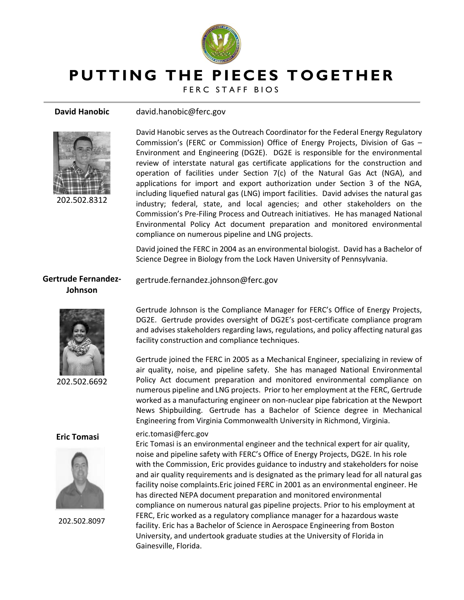

gertrude.fernandez.johnson@ferc.gov

# **PUTTING THE PIECES TOGETHER**

FERC STAFF BIOS

### **David Hanobic** david.hanobic@ferc.gov



202.502.8312

David Hanobic serves as the Outreach Coordinator for the Federal Energy Regulatory Commission's (FERC or Commission) Office of Energy Projects, Division of Gas – Environment and Engineering (DG2E). DG2E is responsible for the environmental review of interstate natural gas certificate applications for the construction and operation of facilities under Section 7(c) of the Natural Gas Act (NGA), and applications for import and export authorization under Section 3 of the NGA, including liquefied natural gas (LNG) import facilities. David advises the natural gas industry; federal, state, and local agencies; and other stakeholders on the Commission's Pre-Filing Process and Outreach initiatives. He has managed National Environmental Policy Act document preparation and monitored environmental compliance on numerous pipeline and LNG projects.

David joined the FERC in 2004 as an environmental biologist. David has a Bachelor of Science Degree in Biology from the Lock Haven University of Pennsylvania.

## **Gertrude Fernandez-Johnson**



202.502.6692

### **Eric Tomasi**



202.502.8097

Gertrude Johnson is the Compliance Manager for FERC's Office of Energy Projects, DG2E. Gertrude provides oversight of DG2E's post-certificate compliance program and advises stakeholders regarding laws, regulations, and policy affecting natural gas facility construction and compliance techniques.

Gertrude joined the FERC in 2005 as a Mechanical Engineer, specializing in review of air quality, noise, and pipeline safety. She has managed National Environmental Policy Act document preparation and monitored environmental compliance on numerous pipeline and LNG projects. Prior to her employment at the FERC, Gertrude worked as a manufacturing engineer on non-nuclear pipe fabrication at the Newport News Shipbuilding. Gertrude has a Bachelor of Science degree in Mechanical Engineering from Virginia Commonwealth University in Richmond, Virginia.

### eric.tomasi@ferc.gov

Eric Tomasi is an environmental engineer and the technical expert for air quality, noise and pipeline safety with FERC's Office of Energy Projects, DG2E. In his role with the Commission, Eric provides guidance to industry and stakeholders for noise and air quality requirements and is designated as the primary lead for all natural gas facility noise complaints.Eric joined FERC in 2001 as an environmental engineer. He has directed NEPA document preparation and monitored environmental compliance on numerous natural gas pipeline projects. Prior to his employment at FERC, Eric worked as a regulatory compliance manager for a hazardous waste facility. Eric has a Bachelor of Science in Aerospace Engineering from Boston University, and undertook graduate studies at the University of Florida in Gainesville, Florida.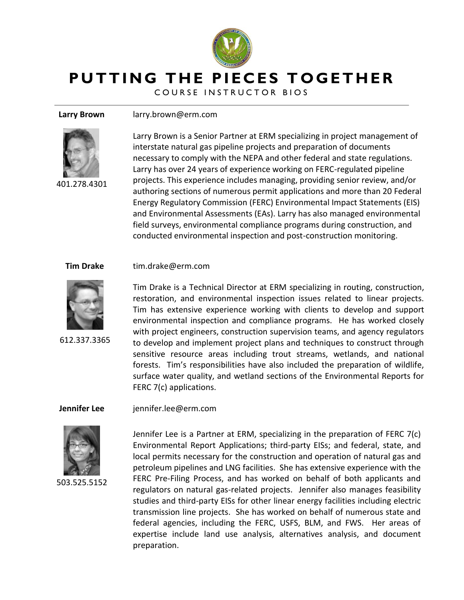

**PUTTING THE PIECES TOGETHER** 

COURSE INSTRUCTOR BIOS

 **Larry Brown** larry.brown@erm.com



401.278.4301

Larry Brown is a Senior Partner at ERM specializing in project management of interstate natural gas pipeline projects and preparation of documents necessary to comply with the NEPA and other federal and state regulations. Larry has over 24 years of experience working on FERC‐regulated pipeline projects. This experience includes managing, providing senior review, and/or authoring sections of numerous permit applications and more than 20 Federal Energy Regulatory Commission (FERC) Environmental Impact Statements (EIS) and Environmental Assessments (EAs). Larry has also managed environmental field surveys, environmental compliance programs during construction, and conducted environmental inspection and post‐construction monitoring.

### **Tim Drake** tim.drake@erm.com



612.337.3365

Tim Drake is a Technical Director at ERM specializing in routing, construction, restoration, and environmental inspection issues related to linear projects. Tim has extensive experience working with clients to develop and support environmental inspection and compliance programs. He has worked closely with project engineers, construction supervision teams, and agency regulators to develop and implement project plans and techniques to construct through sensitive resource areas including trout streams, wetlands, and national forests. Tim's responsibilities have also included the preparation of wildlife, surface water quality, and wetland sections of the Environmental Reports for FERC 7(c) applications.

**Jennifer Lee** jennifer.lee@erm.com



503.525.5152

Jennifer Lee is a Partner at ERM, specializing in the preparation of FERC 7(c) Environmental Report Applications; third-party EISs; and federal, state, and local permits necessary for the construction and operation of natural gas and petroleum pipelines and LNG facilities. She has extensive experience with the FERC Pre-Filing Process, and has worked on behalf of both applicants and regulators on natural gas-related projects. Jennifer also manages feasibility studies and third-party EISs for other linear energy facilities including electric transmission line projects. She has worked on behalf of numerous state and federal agencies, including the FERC, USFS, BLM, and FWS. Her areas of expertise include land use analysis, alternatives analysis, and document preparation.